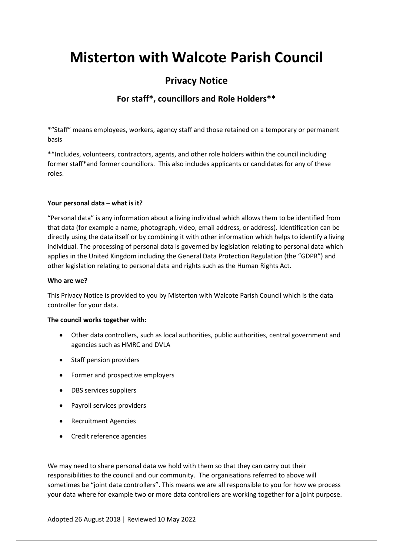# **Misterton with Walcote Parish Council**

# **Privacy Notice**

# **For staff\*, councillors and Role Holders\*\***

\*"Staff" means employees, workers, agency staff and those retained on a temporary or permanent basis

\*\*Includes, volunteers, contractors, agents, and other role holders within the council including former staff\*and former councillors. This also includes applicants or candidates for any of these roles.

## **Your personal data – what is it?**

"Personal data" is any information about a living individual which allows them to be identified from that data (for example a name, photograph, video, email address, or address). Identification can be directly using the data itself or by combining it with other information which helps to identify a living individual. The processing of personal data is governed by legislation relating to personal data which applies in the United Kingdom including the General Data Protection Regulation (the "GDPR") and other legislation relating to personal data and rights such as the Human Rights Act.

#### **Who are we?**

This Privacy Notice is provided to you by Misterton with Walcote Parish Council which is the data controller for your data.

#### **The council works together with:**

- Other data controllers, such as local authorities, public authorities, central government and agencies such as HMRC and DVLA
- Staff pension providers
- Former and prospective employers
- DBS services suppliers
- Payroll services providers
- Recruitment Agencies
- Credit reference agencies

We may need to share personal data we hold with them so that they can carry out their responsibilities to the council and our community. The organisations referred to above will sometimes be "joint data controllers". This means we are all responsible to you for how we process your data where for example two or more data controllers are working together for a joint purpose.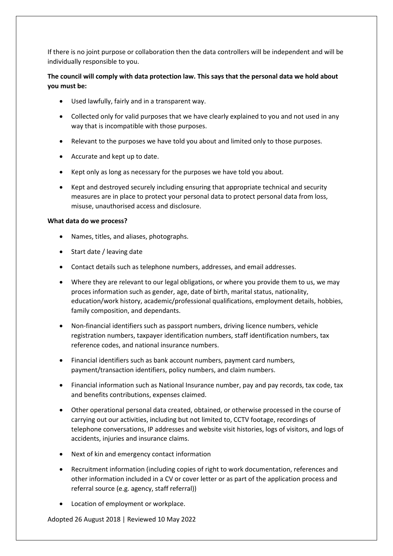If there is no joint purpose or collaboration then the data controllers will be independent and will be individually responsible to you.

# **The council will comply with data protection law. This says that the personal data we hold about you must be:**

- Used lawfully, fairly and in a transparent way.
- Collected only for valid purposes that we have clearly explained to you and not used in any way that is incompatible with those purposes.
- Relevant to the purposes we have told you about and limited only to those purposes.
- Accurate and kept up to date.
- Kept only as long as necessary for the purposes we have told you about.
- Kept and destroyed securely including ensuring that appropriate technical and security measures are in place to protect your personal data to protect personal data from loss, misuse, unauthorised access and disclosure.

#### **What data do we process?**

- Names, titles, and aliases, photographs.
- Start date / leaving date
- Contact details such as telephone numbers, addresses, and email addresses.
- Where they are relevant to our legal obligations, or where you provide them to us, we may proces information such as gender, age, date of birth, marital status, nationality, education/work history, academic/professional qualifications, employment details, hobbies, family composition, and dependants.
- Non-financial identifiers such as passport numbers, driving licence numbers, vehicle registration numbers, taxpayer identification numbers, staff identification numbers, tax reference codes, and national insurance numbers.
- Financial identifiers such as bank account numbers, payment card numbers, payment/transaction identifiers, policy numbers, and claim numbers.
- Financial information such as National Insurance number, pay and pay records, tax code, tax and benefits contributions, expenses claimed.
- Other operational personal data created, obtained, or otherwise processed in the course of carrying out our activities, including but not limited to, CCTV footage, recordings of telephone conversations, IP addresses and website visit histories, logs of visitors, and logs of accidents, injuries and insurance claims.
- Next of kin and emergency contact information
- Recruitment information (including copies of right to work documentation, references and other information included in a CV or cover letter or as part of the application process and referral source (e.g. agency, staff referral))
- Location of employment or workplace.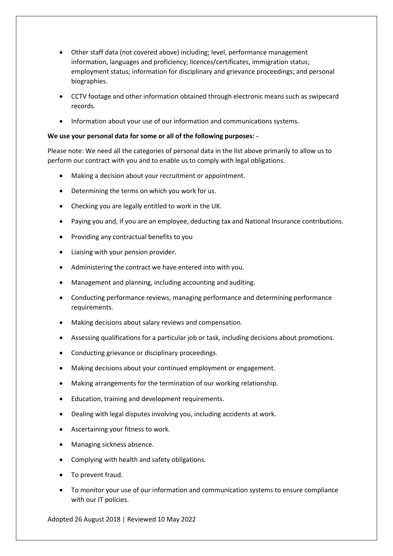- Other staff data (not covered above) including; level, performance management information, languages and proficiency; licences/certificates, immigration status; employment status; information for disciplinary and grievance proceedings; and personal biographies.
- CCTV footage and other information obtained through electronic means such as swipecard records.
- Information about your use of our information and communications systems.

#### **We use your personal data for some or all of the following purposes: -**

Please note: We need all the categories of personal data in the list above primarily to allow us to perform our contract with you and to enable us to comply with legal obligations.

- Making a decision about your recruitment or appointment.
- Determining the terms on which you work for us.
- Checking you are legally entitled to work in the UK.
- Paying you and, if you are an employee, deducting tax and National Insurance contributions.
- Providing any contractual benefits to you
- Liaising with your pension provider.
- Administering the contract we have entered into with you.
- Management and planning, including accounting and auditing.
- Conducting performance reviews, managing performance and determining performance requirements.
- Making decisions about salary reviews and compensation.
- Assessing qualifications for a particular job or task, including decisions about promotions.
- Conducting grievance or disciplinary proceedings.
- Making decisions about your continued employment or engagement.
- Making arrangements for the termination of our working relationship.
- Education, training and development requirements.
- Dealing with legal disputes involving you, including accidents at work.
- Ascertaining your fitness to work.
- Managing sickness absence.
- Complying with health and safety obligations.
- To prevent fraud.
- To monitor your use of our information and communication systems to ensure compliance with our IT policies.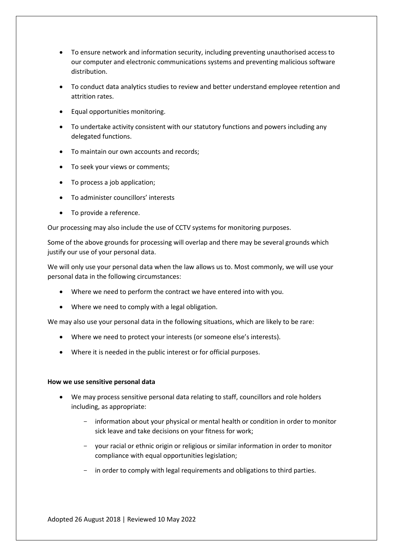- To ensure network and information security, including preventing unauthorised access to our computer and electronic communications systems and preventing malicious software distribution.
- To conduct data analytics studies to review and better understand employee retention and attrition rates.
- Equal opportunities monitoring.
- To undertake activity consistent with our statutory functions and powers including any delegated functions.
- To maintain our own accounts and records;
- To seek your views or comments;
- To process a job application;
- To administer councillors' interests
- To provide a reference.

Our processing may also include the use of CCTV systems for monitoring purposes.

Some of the above grounds for processing will overlap and there may be several grounds which justify our use of your personal data.

We will only use your personal data when the law allows us to. Most commonly, we will use your personal data in the following circumstances:

- Where we need to perform the contract we have entered into with you.
- Where we need to comply with a legal obligation.

We may also use your personal data in the following situations, which are likely to be rare:

- Where we need to protect your interests (or someone else's interests).
- Where it is needed in the public interest or for official purposes.

#### **How we use sensitive personal data**

- We may process sensitive personal data relating to staff, councillors and role holders including, as appropriate:
	- information about your physical or mental health or condition in order to monitor sick leave and take decisions on your fitness for work;
	- your racial or ethnic origin or religious or similar information in order to monitor compliance with equal opportunities legislation;
	- in order to comply with legal requirements and obligations to third parties.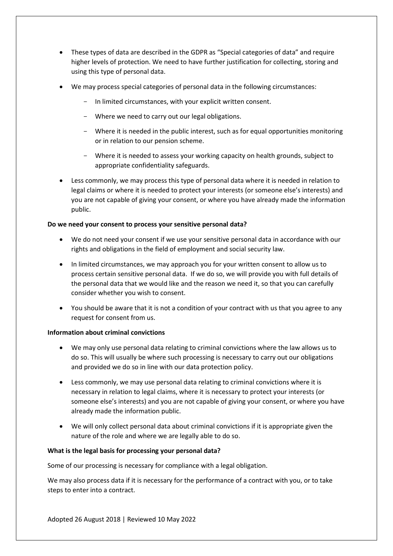- These types of data are described in the GDPR as "Special categories of data" and require higher levels of protection. We need to have further justification for collecting, storing and using this type of personal data.
- We may process special categories of personal data in the following circumstances:
	- In limited circumstances, with your explicit written consent.
	- Where we need to carry out our legal obligations.
	- Where it is needed in the public interest, such as for equal opportunities monitoring or in relation to our pension scheme.
	- Where it is needed to assess your working capacity on health grounds, subject to appropriate confidentiality safeguards.
- Less commonly, we may process this type of personal data where it is needed in relation to legal claims or where it is needed to protect your interests (or someone else's interests) and you are not capable of giving your consent, or where you have already made the information public.

#### **Do we need your consent to process your sensitive personal data?**

- We do not need your consent if we use your sensitive personal data in accordance with our rights and obligations in the field of employment and social security law.
- In limited circumstances, we may approach you for your written consent to allow us to process certain sensitive personal data. If we do so, we will provide you with full details of the personal data that we would like and the reason we need it, so that you can carefully consider whether you wish to consent.
- You should be aware that it is not a condition of your contract with us that you agree to any request for consent from us.

#### **Information about criminal convictions**

- We may only use personal data relating to criminal convictions where the law allows us to do so. This will usually be where such processing is necessary to carry out our obligations and provided we do so in line with our data protection policy.
- Less commonly, we may use personal data relating to criminal convictions where it is necessary in relation to legal claims, where it is necessary to protect your interests (or someone else's interests) and you are not capable of giving your consent, or where you have already made the information public.
- We will only collect personal data about criminal convictions if it is appropriate given the nature of the role and where we are legally able to do so.

#### **What is the legal basis for processing your personal data?**

Some of our processing is necessary for compliance with a legal obligation.

We may also process data if it is necessary for the performance of a contract with you, or to take steps to enter into a contract.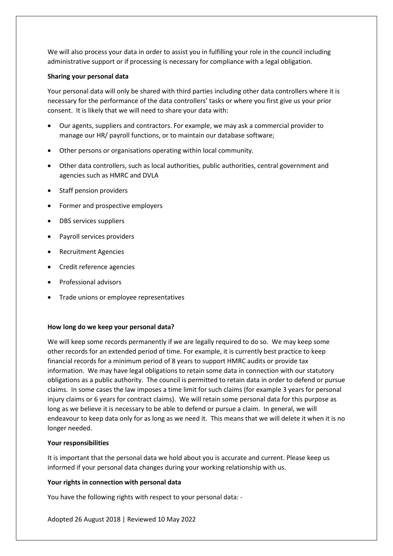We will also process your data in order to assist you in fulfilling your role in the council including administrative support or if processing is necessary for compliance with a legal obligation.

#### **Sharing your personal data**

Your personal data will only be shared with third parties including other data controllers where it is necessary for the performance of the data controllers' tasks or where you first give us your prior consent. It is likely that we will need to share your data with:

- Our agents, suppliers and contractors. For example, we may ask a commercial provider to manage our HR/ payroll functions, or to maintain our database software;
- Other persons or organisations operating within local community.
- Other data controllers, such as local authorities, public authorities, central government and agencies such as HMRC and DVLA
- Staff pension providers
- Former and prospective employers
- DBS services suppliers
- Payroll services providers
- Recruitment Agencies
- Credit reference agencies
- Professional advisors
- Trade unions or employee representatives

#### **How long do we keep your personal data?**

We will keep some records permanently if we are legally required to do so. We may keep some other records for an extended period of time. For example, it is currently best practice to keep financial records for a minimum period of 8 years to support HMRC audits or provide tax information. We may have legal obligations to retain some data in connection with our statutory obligations as a public authority. The council is permitted to retain data in order to defend or pursue claims. In some cases the law imposes a time limit for such claims (for example 3 years for personal injury claims or 6 years for contract claims). We will retain some personal data for this purpose as long as we believe it is necessary to be able to defend or pursue a claim. In general, we will endeavour to keep data only for as long as we need it. This means that we will delete it when it is no longer needed.

#### **Your responsibilities**

It is important that the personal data we hold about you is accurate and current. Please keep us informed if your personal data changes during your working relationship with us.

#### **Your rights in connection with personal data**

You have the following rights with respect to your personal data: -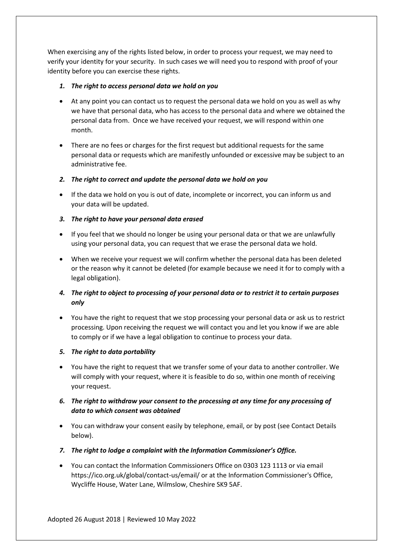When exercising any of the rights listed below, in order to process your request, we may need to verify your identity for your security. In such cases we will need you to respond with proof of your identity before you can exercise these rights.

# *1. The right to access personal data we hold on you*

- At any point you can contact us to request the personal data we hold on you as well as why we have that personal data, who has access to the personal data and where we obtained the personal data from. Once we have received your request, we will respond within one month.
- There are no fees or charges for the first request but additional requests for the same personal data or requests which are manifestly unfounded or excessive may be subject to an administrative fee.
- *2. The right to correct and update the personal data we hold on you*
- If the data we hold on you is out of date, incomplete or incorrect, you can inform us and your data will be updated.

# *3. The right to have your personal data erased*

- If you feel that we should no longer be using your personal data or that we are unlawfully using your personal data, you can request that we erase the personal data we hold.
- When we receive your request we will confirm whether the personal data has been deleted or the reason why it cannot be deleted (for example because we need it for to comply with a legal obligation).

# *4. The right to object to processing of your personal data or to restrict it to certain purposes only*

• You have the right to request that we stop processing your personal data or ask us to restrict processing. Upon receiving the request we will contact you and let you know if we are able to comply or if we have a legal obligation to continue to process your data.

# *5. The right to data portability*

• You have the right to request that we transfer some of your data to another controller. We will comply with your request, where it is feasible to do so, within one month of receiving your request.

# *6. The right to withdraw your consent to the processing at any time for any processing of data to which consent was obtained*

- You can withdraw your consent easily by telephone, email, or by post (see Contact Details below).
- *7. The right to lodge a complaint with the Information Commissioner's Office.*
- You can contact the Information Commissioners Office on 0303 123 1113 or via email https://ico.org.uk/global/contact-us/email/ or at the Information Commissioner's Office, Wycliffe House, Water Lane, Wilmslow, Cheshire SK9 5AF.